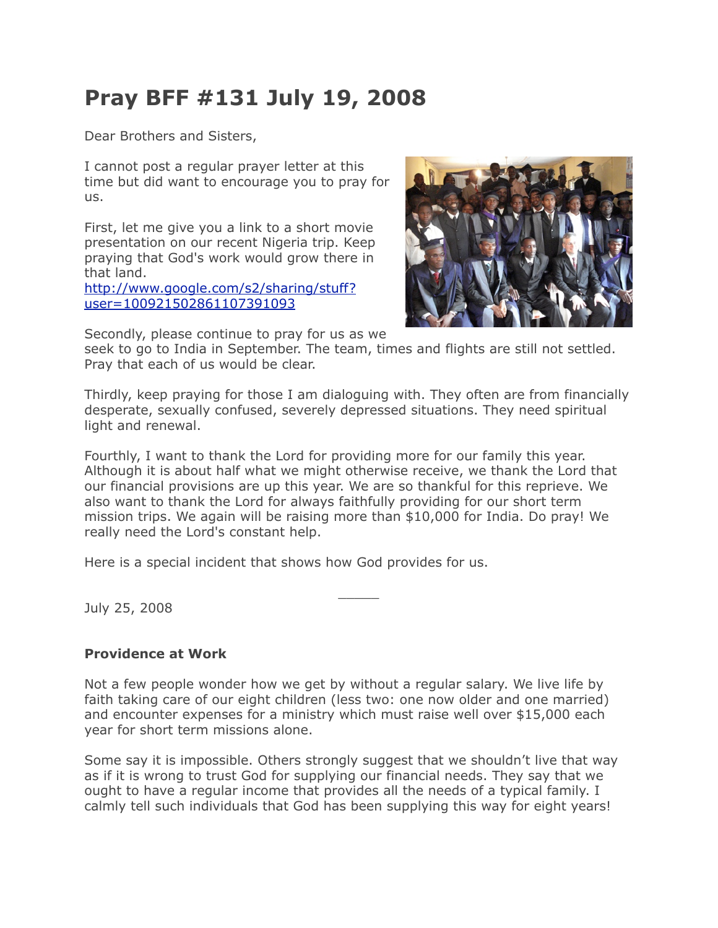## **Pray BFF #131 July 19, 2008**

Dear Brothers and Sisters,

I cannot post a regular prayer letter at this time but did want to encourage you to pray for us.

First, let me give you a link to a short movie presentation on our recent Nigeria trip. Keep praying that God's work would grow there in that land.

[http://www.google.com/s2/sharing/stuff?](http://www.google.com/s2/sharing/stuff?user=100921502861107391093) [user=100921502861107391093](http://www.google.com/s2/sharing/stuff?user=100921502861107391093)



Secondly, please continue to pray for us as we

seek to go to India in September. The team, times and flights are still not settled. Pray that each of us would be clear.

Thirdly, keep praying for those I am dialoguing with. They often are from financially desperate, sexually confused, severely depressed situations. They need spiritual light and renewal.

Fourthly, I want to thank the Lord for providing more for our family this year. Although it is about half what we might otherwise receive, we thank the Lord that our financial provisions are up this year. We are so thankful for this reprieve. We also want to thank the Lord for always faithfully providing for our short term mission trips. We again will be raising more than \$10,000 for India. Do pray! We really need the Lord's constant help.

 $\overline{\phantom{a}}$ 

Here is a special incident that shows how God provides for us.

July 25, 2008

## **Providence at Work**

Not a few people wonder how we get by without a regular salary. We live life by faith taking care of our eight children (less two: one now older and one married) and encounter expenses for a ministry which must raise well over \$15,000 each year for short term missions alone.

Some say it is impossible. Others strongly suggest that we shouldn't live that way as if it is wrong to trust God for supplying our financial needs. They say that we ought to have a regular income that provides all the needs of a typical family. I calmly tell such individuals that God has been supplying this way for eight years!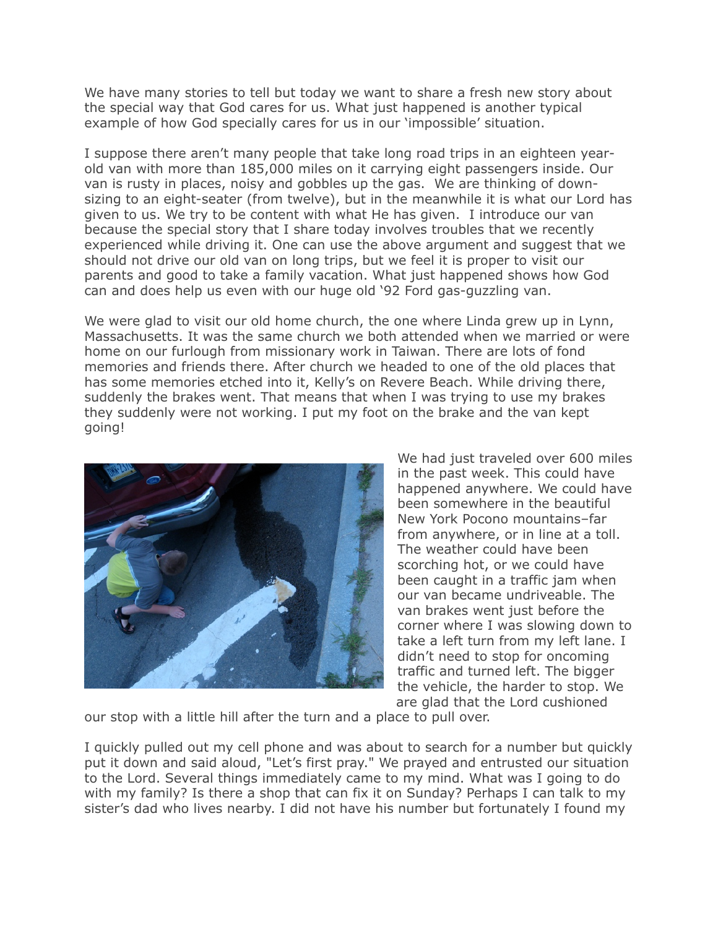We have many stories to tell but today we want to share a fresh new story about the special way that God cares for us. What just happened is another typical example of how God specially cares for us in our 'impossible' situation.

I suppose there aren't many people that take long road trips in an eighteen yearold van with more than 185,000 miles on it carrying eight passengers inside. Our van is rusty in places, noisy and gobbles up the gas. We are thinking of downsizing to an eight-seater (from twelve), but in the meanwhile it is what our Lord has given to us. We try to be content with what He has given. I introduce our van because the special story that I share today involves troubles that we recently experienced while driving it. One can use the above argument and suggest that we should not drive our old van on long trips, but we feel it is proper to visit our parents and good to take a family vacation. What just happened shows how God can and does help us even with our huge old '92 Ford gas-guzzling van.

We were glad to visit our old home church, the one where Linda grew up in Lynn, Massachusetts. It was the same church we both attended when we married or were home on our furlough from missionary work in Taiwan. There are lots of fond memories and friends there. After church we headed to one of the old places that has some memories etched into it, Kelly's on Revere Beach. While driving there, suddenly the brakes went. That means that when I was trying to use my brakes they suddenly were not working. I put my foot on the brake and the van kept going!



We had just traveled over 600 miles in the past week. This could have happened anywhere. We could have been somewhere in the beautiful New York Pocono mountains–far from anywhere, or in line at a toll. The weather could have been scorching hot, or we could have been caught in a traffic jam when our van became undriveable. The van brakes went just before the corner where I was slowing down to take a left turn from my left lane. I didn't need to stop for oncoming traffic and turned left. The bigger the vehicle, the harder to stop. We are glad that the Lord cushioned

our stop with a little hill after the turn and a place to pull over.

I quickly pulled out my cell phone and was about to search for a number but quickly put it down and said aloud, "Let's first pray." We prayed and entrusted our situation to the Lord. Several things immediately came to my mind. What was I going to do with my family? Is there a shop that can fix it on Sunday? Perhaps I can talk to my sister's dad who lives nearby. I did not have his number but fortunately I found my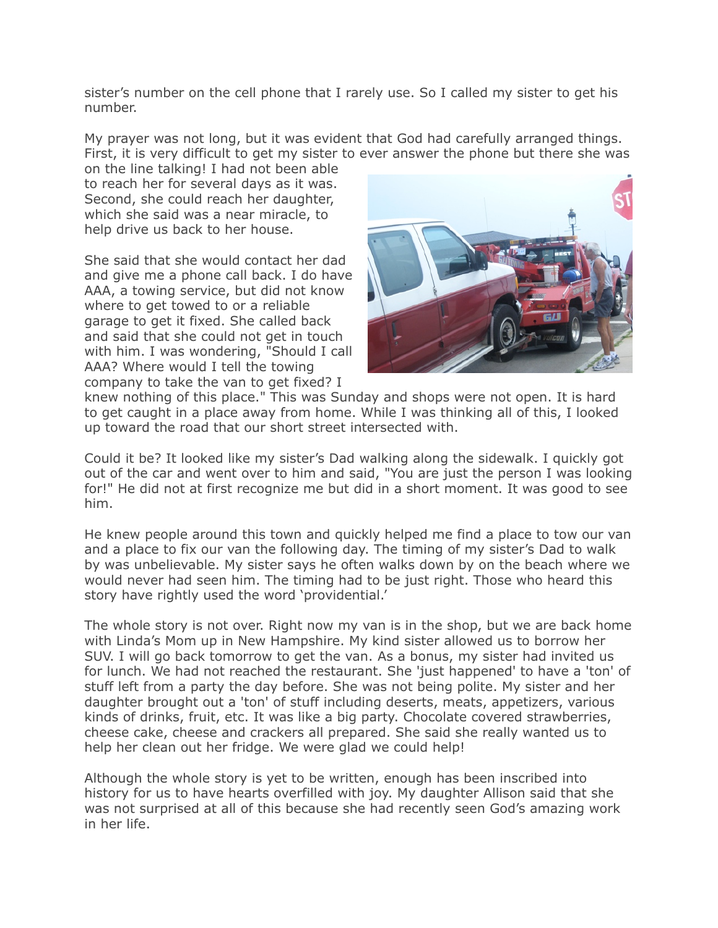sister's number on the cell phone that I rarely use. So I called my sister to get his number.

My prayer was not long, but it was evident that God had carefully arranged things. First, it is very difficult to get my sister to ever answer the phone but there she was

on the line talking! I had not been able to reach her for several days as it was. Second, she could reach her daughter, which she said was a near miracle, to help drive us back to her house.

She said that she would contact her dad and give me a phone call back. I do have AAA, a towing service, but did not know where to get towed to or a reliable garage to get it fixed. She called back and said that she could not get in touch with him. I was wondering, "Should I call AAA? Where would I tell the towing company to take the van to get fixed? I



knew nothing of this place." This was Sunday and shops were not open. It is hard to get caught in a place away from home. While I was thinking all of this, I looked up toward the road that our short street intersected with.

Could it be? It looked like my sister's Dad walking along the sidewalk. I quickly got out of the car and went over to him and said, "You are just the person I was looking for!" He did not at first recognize me but did in a short moment. It was good to see him.

He knew people around this town and quickly helped me find a place to tow our van and a place to fix our van the following day. The timing of my sister's Dad to walk by was unbelievable. My sister says he often walks down by on the beach where we would never had seen him. The timing had to be just right. Those who heard this story have rightly used the word 'providential.'

The whole story is not over. Right now my van is in the shop, but we are back home with Linda's Mom up in New Hampshire. My kind sister allowed us to borrow her SUV. I will go back tomorrow to get the van. As a bonus, my sister had invited us for lunch. We had not reached the restaurant. She 'just happened' to have a 'ton' of stuff left from a party the day before. She was not being polite. My sister and her daughter brought out a 'ton' of stuff including deserts, meats, appetizers, various kinds of drinks, fruit, etc. It was like a big party. Chocolate covered strawberries, cheese cake, cheese and crackers all prepared. She said she really wanted us to help her clean out her fridge. We were glad we could help!

Although the whole story is yet to be written, enough has been inscribed into history for us to have hearts overfilled with joy. My daughter Allison said that she was not surprised at all of this because she had recently seen God's amazing work in her life.